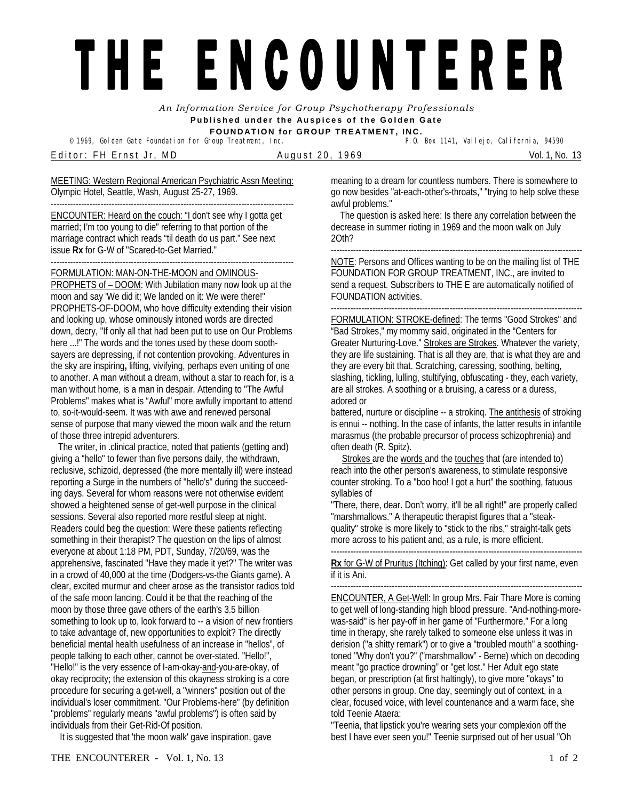## THE ENCOUNTERER

*An Information Service for Group Psychotherapy Professionals*  **Published under the Auspices of the Golden Gate FOUNDATION for GROUP TREATMENT, INC.** 

<sup>©</sup> 1969, Golden Gate Foundation for Group Treatment, Inc.

E d i t o r : F H E r n s t J r , M D A u g u s t 2 0 , 1 9 6 9 Vol. 1, No. 13

MEETING: Western Regional American Psychiatric Assn Meeting: Olympic Hotel, Seattle, Wash, August 25-27, 1969.

---------------------------------------------------------------------------------------- ENCOUNTER: Heard on the couch: "I don't see why I gotta get married; I'm too young to die" referring to that portion of the marriage contract which reads "til death do us part." See next issue **Rx** for G-W of "Scared-to-Get Married."

---------------------------------------------------------------------------------------- FORMULATION: MAN-ON-THE-MOON and OMINOUS-

PROPHETS of – DOOM: With Jubilation many now look up at the moon and say 'We did it; We landed on it: We were there!" PROPHETS-OF-DOOM, who hove difficulty extending their vision and looking up, whose ominously intoned words are directed down, decry, "If only all that had been put to use on Our Problems here ...!" The words and the tones used by these doom soothsayers are depressing, if not contention provoking. Adventures in the sky are inspiring**,** lifting, vivifying, perhaps even uniting of one to another. A man without a dream, without a star to reach for, is a man without home, is a man in despair. Attending to "The Awful Problems" makes what is "Awful" more awfully important to attend to, so-it-would-seem. It was with awe and renewed personal sense of purpose that many viewed the moon walk and the return of those three intrepid adventurers.

The writer, in .clinical practice, noted that patients (getting and) giving a "hello" to fewer than five persons daily, the withdrawn, reclusive, schizoid, depressed (the more mentally ill) were instead reporting a Surge in the numbers of "hello's" during the succeeding days. Several for whom reasons were not otherwise evident showed a heightened sense of get-well purpose in the clinical sessions. Several also reported more restful sleep at night. Readers could beg the question: Were these patients reflecting something in their therapist? The question on the lips of almost everyone at about 1:18 PM, PDT, Sunday, 7/20/69, was the apprehensive, fascinated "Have they made it yet?" The writer was in a crowd of 40,000 at the time (Dodgers-vs-the Giants game). A clear, excited murmur and cheer arose as the transistor radios told of the safe moon lancing. Could it be that the reaching of the moon by those three gave others of the earth's 3.5 billion something to look up to, look forward to -- a vision of new frontiers to take advantage of, new opportunities to exploit? The directly beneficial mental health usefulness of an increase in "hellos", of people talking to each other, cannot be over-stated. "Hello!", "Hello!" is the very essence of I-am-okay-and-you-are-okay, of okay reciprocity; the extension of this okayness stroking is a core procedure for securing a get-well, a "winners" position out of the individual's loser commitment. "Our Problems-here" (by definition "problems" regularly means "awful problems") is often said by individuals from their Get-Rid-Of position.

It is suggested that 'the moon walk' gave inspiration, gave

meaning to a dream for countless numbers. There is somewhere to go now besides "at-each-other's-throats," "trying to help solve these awful problems."

 The question is asked here: Is there any correlation between the decrease in summer rioting in 1969 and the moon walk on July 2Oth?

------------------------------------------------------------------------------------------- NOTE: Persons and Offices wanting to be on the mailing list of THE

FOUNDATION FOR GROUP TREATMENT, INC., are invited to send a request. Subscribers to THE E are automatically notified of FOUNDATION activities.

------------------------------------------------------------------------------------------- FORMULATION: STROKE-defined: The terms "Good Strokes" and "Bad Strokes," my mommy said, originated in the "Centers for Greater Nurturing-Love." Strokes are Strokes. Whatever the variety, they are life sustaining. That is all they are, that is what they are and they are every bit that. Scratching, caressing, soothing, belting, slashing, tickling, lulling, stultifying, obfuscating - they, each variety, are all strokes. A soothing or a bruising, a caress or a duress, adored or

battered, nurture or discipline -- a strokinq. The antithesis of stroking is ennui -- nothing. In the case of infants, the latter results in infantile marasmus (the probable precursor of process schizophrenia) and often death (R. Spitz).

Strokes are the words and the touches that (are intended to) reach into the other person's awareness, to stimulate responsive counter stroking. To a "boo hoo! I got a hurt" the soothing, fatuous syllables of

"There, there, dear. Don't worry, it'll be all right!" are properly called "marshmallows." A therapeutic therapist figures that a "steakquality" stroke is more likely to "stick to the ribs," straight-talk gets more across to his patient and, as a rule, is more efficient.

------------------------------------------------------------------------------------------- **Rx** for G-W of Pruritus (Itching): Get called by your first name, even if it is Ani.

------------------------------------------------------------------------------------------- ENCOUNTER, A Get-Well: In group Mrs. Fair Thare More is coming to get well of long-standing high blood pressure. "And-nothing-morewas-said" is her pay-off in her game of "Furthermore." For a long time in therapy, she rarely talked to someone else unless it was in derision ("a shitty remark") or to give a "troubled mouth" a soothingtoned "Why don't you?" ("marshmallow" - Berne) which on decoding meant "go practice drowning" or "get lost." Her Adult ego state began, or prescription (at first haltingly), to give more "okays" to other persons in group. One day, seemingly out of context, in a clear, focused voice, with level countenance and a warm face, she told Teenie Ataera:

"Teenia, that lipstick you're wearing sets your complexion off the best I have ever seen you!" Teenie surprised out of her usual "Oh